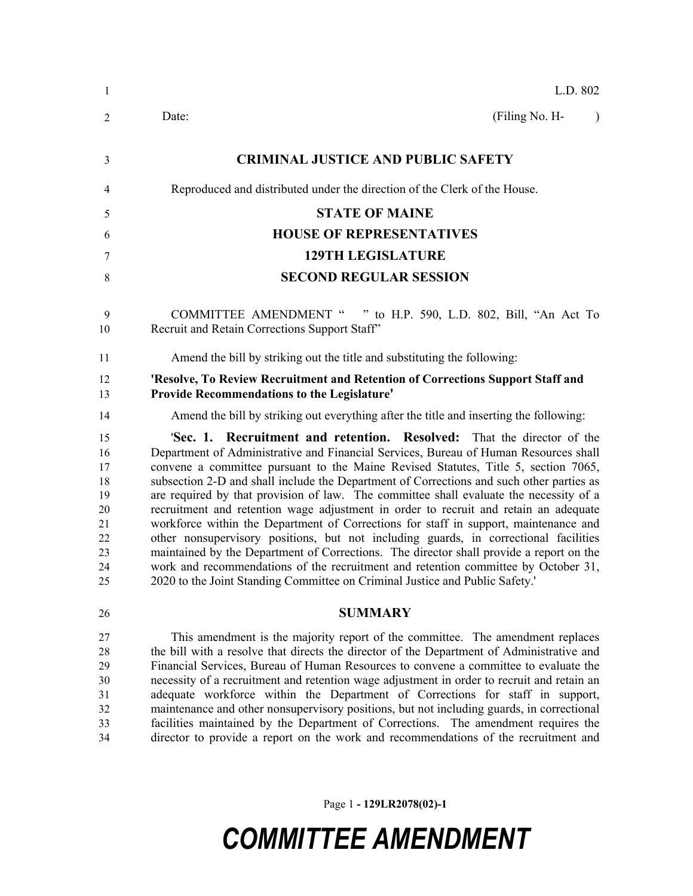| $\mathbf{1}$                                                   | L.D. 802                                                                                                                                                                                                                                                                                                                                                                                                                                                                                                                                                                                                                                                                                                                                                                                                                                                                                                                                                                                  |
|----------------------------------------------------------------|-------------------------------------------------------------------------------------------------------------------------------------------------------------------------------------------------------------------------------------------------------------------------------------------------------------------------------------------------------------------------------------------------------------------------------------------------------------------------------------------------------------------------------------------------------------------------------------------------------------------------------------------------------------------------------------------------------------------------------------------------------------------------------------------------------------------------------------------------------------------------------------------------------------------------------------------------------------------------------------------|
| 2                                                              | (Filing No. H-<br>Date:                                                                                                                                                                                                                                                                                                                                                                                                                                                                                                                                                                                                                                                                                                                                                                                                                                                                                                                                                                   |
| 3                                                              | <b>CRIMINAL JUSTICE AND PUBLIC SAFETY</b>                                                                                                                                                                                                                                                                                                                                                                                                                                                                                                                                                                                                                                                                                                                                                                                                                                                                                                                                                 |
| 4                                                              | Reproduced and distributed under the direction of the Clerk of the House.                                                                                                                                                                                                                                                                                                                                                                                                                                                                                                                                                                                                                                                                                                                                                                                                                                                                                                                 |
| 5                                                              | <b>STATE OF MAINE</b>                                                                                                                                                                                                                                                                                                                                                                                                                                                                                                                                                                                                                                                                                                                                                                                                                                                                                                                                                                     |
| 6                                                              | <b>HOUSE OF REPRESENTATIVES</b>                                                                                                                                                                                                                                                                                                                                                                                                                                                                                                                                                                                                                                                                                                                                                                                                                                                                                                                                                           |
| 7                                                              | <b>129TH LEGISLATURE</b>                                                                                                                                                                                                                                                                                                                                                                                                                                                                                                                                                                                                                                                                                                                                                                                                                                                                                                                                                                  |
| 8                                                              | <b>SECOND REGULAR SESSION</b>                                                                                                                                                                                                                                                                                                                                                                                                                                                                                                                                                                                                                                                                                                                                                                                                                                                                                                                                                             |
| 9<br>10                                                        | COMMITTEE AMENDMENT " " to H.P. 590, L.D. 802, Bill, "An Act To<br>Recruit and Retain Corrections Support Staff"                                                                                                                                                                                                                                                                                                                                                                                                                                                                                                                                                                                                                                                                                                                                                                                                                                                                          |
| 11                                                             | Amend the bill by striking out the title and substituting the following:                                                                                                                                                                                                                                                                                                                                                                                                                                                                                                                                                                                                                                                                                                                                                                                                                                                                                                                  |
| 12<br>13                                                       | 'Resolve, To Review Recruitment and Retention of Corrections Support Staff and<br><b>Provide Recommendations to the Legislature'</b>                                                                                                                                                                                                                                                                                                                                                                                                                                                                                                                                                                                                                                                                                                                                                                                                                                                      |
| 14                                                             | Amend the bill by striking out everything after the title and inserting the following:                                                                                                                                                                                                                                                                                                                                                                                                                                                                                                                                                                                                                                                                                                                                                                                                                                                                                                    |
| 15<br>16<br>17<br>18<br>19<br>20<br>21<br>22<br>23<br>24<br>25 | <b>Sec. 1. Recruitment and retention. Resolved:</b> That the director of the<br>Department of Administrative and Financial Services, Bureau of Human Resources shall<br>convene a committee pursuant to the Maine Revised Statutes, Title 5, section 7065,<br>subsection 2-D and shall include the Department of Corrections and such other parties as<br>are required by that provision of law. The committee shall evaluate the necessity of a<br>recruitment and retention wage adjustment in order to recruit and retain an adequate<br>workforce within the Department of Corrections for staff in support, maintenance and<br>other nonsupervisory positions, but not including guards, in correctional facilities<br>maintained by the Department of Corrections. The director shall provide a report on the<br>work and recommendations of the recruitment and retention committee by October 31,<br>2020 to the Joint Standing Committee on Criminal Justice and Public Safety.' |
| 26                                                             | <b>SUMMARY</b>                                                                                                                                                                                                                                                                                                                                                                                                                                                                                                                                                                                                                                                                                                                                                                                                                                                                                                                                                                            |
| 27<br>28<br>29<br>30<br>31<br>32<br>33<br>34                   | This amendment is the majority report of the committee. The amendment replaces<br>the bill with a resolve that directs the director of the Department of Administrative and<br>Financial Services, Bureau of Human Resources to convene a committee to evaluate the<br>necessity of a recruitment and retention wage adjustment in order to recruit and retain an<br>adequate workforce within the Department of Corrections for staff in support,<br>maintenance and other nonsupervisory positions, but not including guards, in correctional<br>facilities maintained by the Department of Corrections. The amendment requires the<br>director to provide a report on the work and recommendations of the recruitment and                                                                                                                                                                                                                                                              |

Page 1 **- 129LR2078(02)-1**

## *COMMITTEE AMENDMENT*